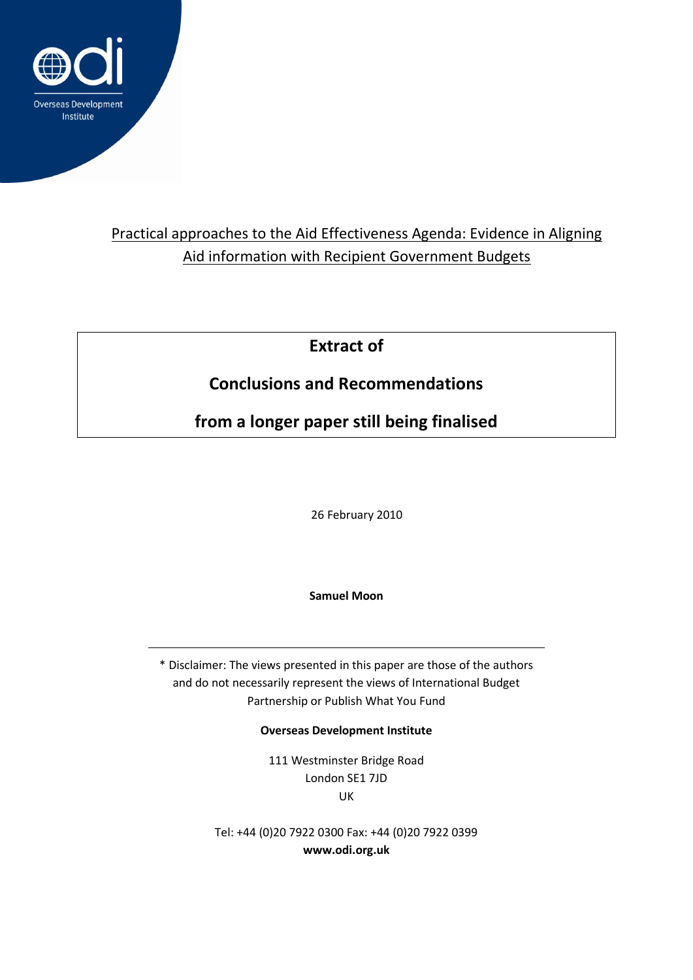

## Practical approaches to the Aid Effectiveness Agenda: Evidence in Aligning Aid information with Recipient Government Budgets

**Extract of** 

# **Conclusions and Recommendations**

**from a longer paper still being finalised**

26 February 2010

**Samuel Moon** 

\* Disclaimer: The views presented in this paper are those of the authors and do not necessarily represent the views of International Budget Partnership or Publish What You Fund

**Overseas Development Institute**

111 Westminster Bridge Road London SE1 7JD UK

Tel: +44 (0)20 7922 0300 Fax: +44 (0)20 7922 0399 **www.odi.org.uk**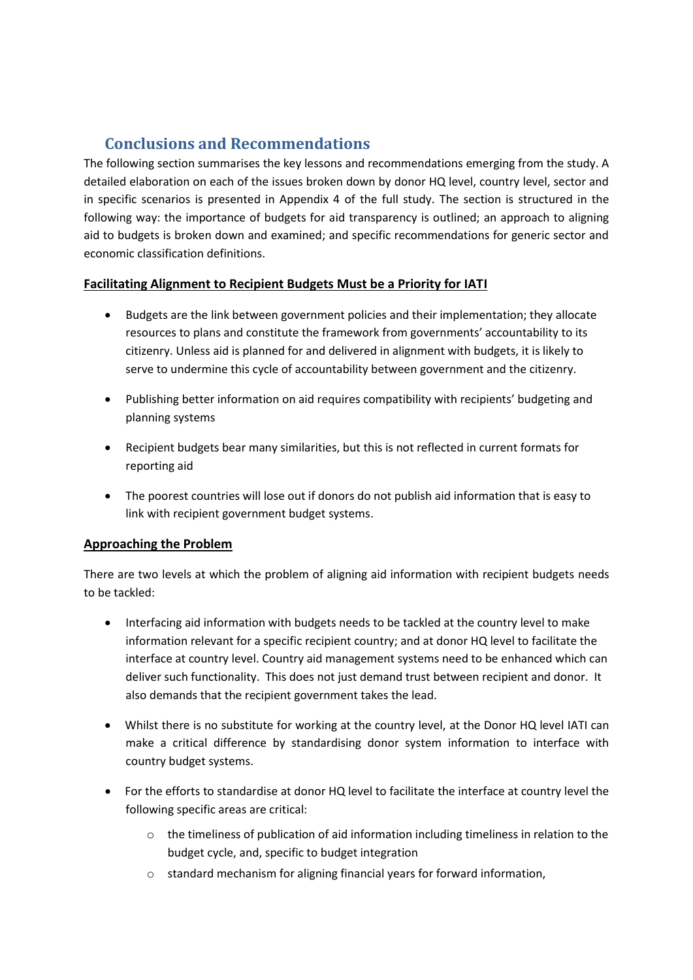### **Conclusions and Recommendations**

The following section summarises the key lessons and recommendations emerging from the study. A detailed elaboration on each of the issues broken down by donor HQ level, country level, sector and in specific scenarios is presented in Appendix 4 of the full study. The section is structured in the following way: the importance of budgets for aid transparency is outlined; an approach to aligning aid to budgets is broken down and examined; and specific recommendations for generic sector and economic classification definitions.

#### **Facilitating Alignment to Recipient Budgets Must be a Priority for IATI**

- Budgets are the link between government policies and their implementation; they allocate resources to plans and constitute the framework from governments' accountability to its citizenry. Unless aid is planned for and delivered in alignment with budgets, it is likely to serve to undermine this cycle of accountability between government and the citizenry.
- Publishing better information on aid requires compatibility with recipients' budgeting and planning systems
- Recipient budgets bear many similarities, but this is not reflected in current formats for reporting aid
- The poorest countries will lose out if donors do not publish aid information that is easy to link with recipient government budget systems.

#### **Approaching the Problem**

There are two levels at which the problem of aligning aid information with recipient budgets needs to be tackled:

- Interfacing aid information with budgets needs to be tackled at the country level to make information relevant for a specific recipient country; and at donor HQ level to facilitate the interface at country level. Country aid management systems need to be enhanced which can deliver such functionality. This does not just demand trust between recipient and donor. It also demands that the recipient government takes the lead.
- Whilst there is no substitute for working at the country level, at the Donor HQ level IATI can make a critical difference by standardising donor system information to interface with country budget systems.
- For the efforts to standardise at donor HQ level to facilitate the interface at country level the following specific areas are critical:
	- o the timeliness of publication of aid information including timeliness in relation to the budget cycle, and, specific to budget integration
	- o standard mechanism for aligning financial years for forward information,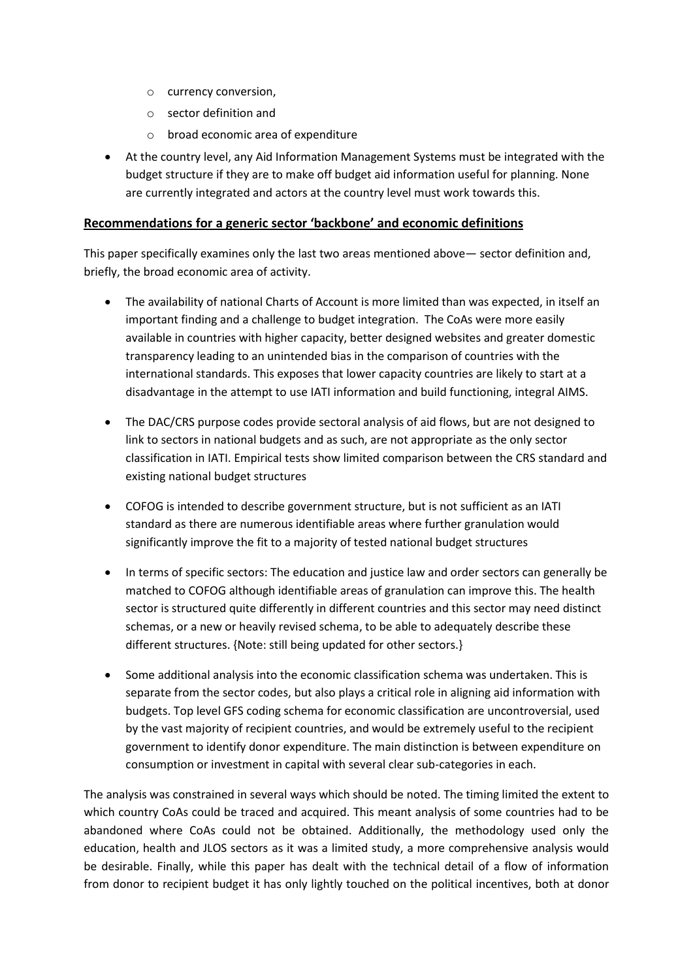- o currency conversion,
- o sector definition and
- o broad economic area of expenditure
- At the country level, any Aid Information Management Systems must be integrated with the budget structure if they are to make off budget aid information useful for planning. None are currently integrated and actors at the country level must work towards this.

#### **Recommendations for a generic sector 'backbone' and economic definitions**

This paper specifically examines only the last two areas mentioned above— sector definition and, briefly, the broad economic area of activity.

- The availability of national Charts of Account is more limited than was expected, in itself an important finding and a challenge to budget integration. The CoAs were more easily available in countries with higher capacity, better designed websites and greater domestic transparency leading to an unintended bias in the comparison of countries with the international standards. This exposes that lower capacity countries are likely to start at a disadvantage in the attempt to use IATI information and build functioning, integral AIMS.
- The DAC/CRS purpose codes provide sectoral analysis of aid flows, but are not designed to link to sectors in national budgets and as such, are not appropriate as the only sector classification in IATI. Empirical tests show limited comparison between the CRS standard and existing national budget structures
- COFOG is intended to describe government structure, but is not sufficient as an IATI standard as there are numerous identifiable areas where further granulation would significantly improve the fit to a majority of tested national budget structures
- In terms of specific sectors: The education and justice law and order sectors can generally be matched to COFOG although identifiable areas of granulation can improve this. The health sector is structured quite differently in different countries and this sector may need distinct schemas, or a new or heavily revised schema, to be able to adequately describe these different structures. {Note: still being updated for other sectors.}
- Some additional analysis into the economic classification schema was undertaken. This is separate from the sector codes, but also plays a critical role in aligning aid information with budgets. Top level GFS coding schema for economic classification are uncontroversial, used by the vast majority of recipient countries, and would be extremely useful to the recipient government to identify donor expenditure. The main distinction is between expenditure on consumption or investment in capital with several clear sub-categories in each.

The analysis was constrained in several ways which should be noted. The timing limited the extent to which country CoAs could be traced and acquired. This meant analysis of some countries had to be abandoned where CoAs could not be obtained. Additionally, the methodology used only the education, health and JLOS sectors as it was a limited study, a more comprehensive analysis would be desirable. Finally, while this paper has dealt with the technical detail of a flow of information from donor to recipient budget it has only lightly touched on the political incentives, both at donor